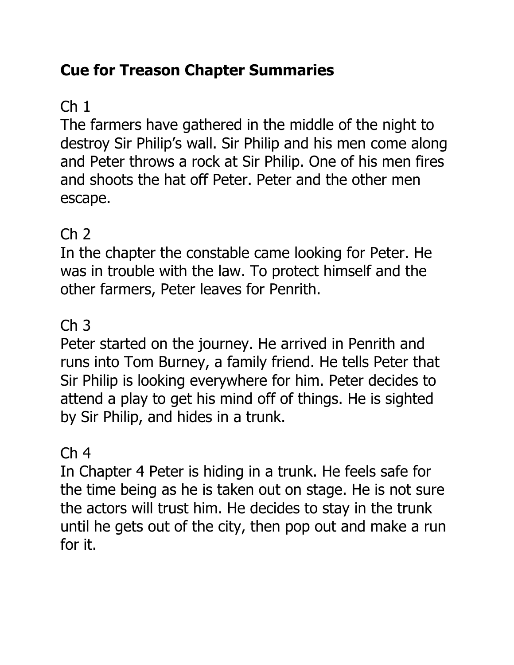## **Cue for Treason Chapter Summaries**

# $Ch<sub>1</sub>$

The farmers have gathered in the middle of the night to destroy Sir Philip's wall. Sir Philip and his men come along and Peter throws a rock at Sir Philip. One of his men fires and shoots the hat off Peter. Peter and the other men escape.

## Ch 2

In the chapter the constable came looking for Peter. He was in trouble with the law. To protect himself and the other farmers, Peter leaves for Penrith.

## Ch 3

Peter started on the journey. He arrived in Penrith and runs into Tom Burney, a family friend. He tells Peter that Sir Philip is looking everywhere for him. Peter decides to attend a play to get his mind off of things. He is sighted by Sir Philip, and hides in a trunk.

## $Ch<sub>4</sub>$

In Chapter 4 Peter is hiding in a trunk. He feels safe for the time being as he is taken out on stage. He is not sure the actors will trust him. He decides to stay in the trunk until he gets out of the city, then pop out and make a run for it.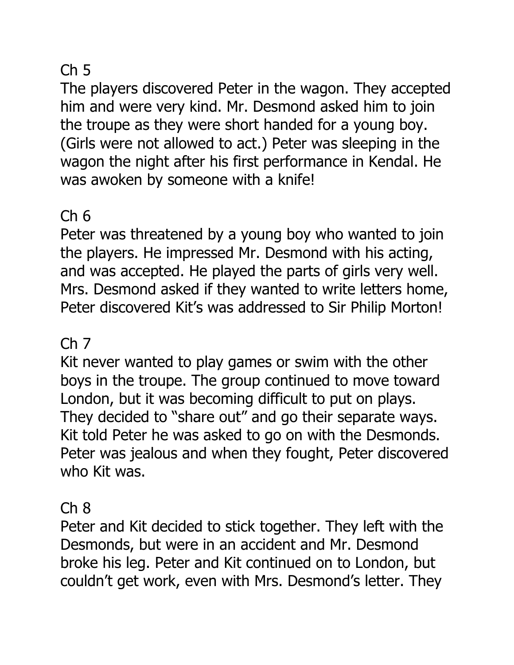## $Ch<sub>5</sub>$

The players discovered Peter in the wagon. They accepted him and were very kind. Mr. Desmond asked him to join the troupe as they were short handed for a young boy. (Girls were not allowed to act.) Peter was sleeping in the wagon the night after his first performance in Kendal. He was awoken by someone with a knife!

## Ch 6

Peter was threatened by a young boy who wanted to join the players. He impressed Mr. Desmond with his acting, and was accepted. He played the parts of girls very well. Mrs. Desmond asked if they wanted to write letters home, Peter discovered Kit's was addressed to Sir Philip Morton!

### Ch 7

Kit never wanted to play games or swim with the other boys in the troupe. The group continued to move toward London, but it was becoming difficult to put on plays. They decided to "share out" and go their separate ways. Kit told Peter he was asked to go on with the Desmonds. Peter was jealous and when they fought, Peter discovered who Kit was.

### Ch 8

Peter and Kit decided to stick together. They left with the Desmonds, but were in an accident and Mr. Desmond broke his leg. Peter and Kit continued on to London, but couldn't get work, even with Mrs. Desmond's letter. They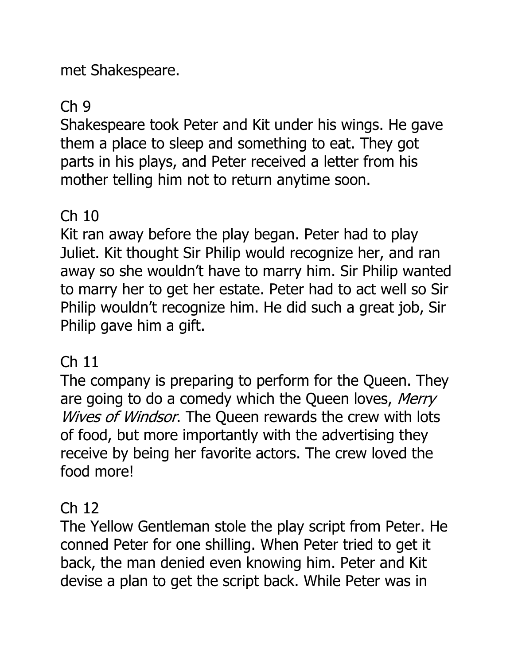met Shakespeare.

### Ch 9

Shakespeare took Peter and Kit under his wings. He gave them a place to sleep and something to eat. They got parts in his plays, and Peter received a letter from his mother telling him not to return anytime soon.

## Ch 10

Kit ran away before the play began. Peter had to play Juliet. Kit thought Sir Philip would recognize her, and ran away so she wouldn't have to marry him. Sir Philip wanted to marry her to get her estate. Peter had to act well so Sir Philip wouldn't recognize him. He did such a great job, Sir Philip gave him a gift.

### Ch 11

The company is preparing to perform for the Queen. They are going to do a comedy which the Queen loves, Merry Wives of Windsor. The Queen rewards the crew with lots of food, but more importantly with the advertising they receive by being her favorite actors. The crew loved the food more!

#### Ch 12

The Yellow Gentleman stole the play script from Peter. He conned Peter for one shilling. When Peter tried to get it back, the man denied even knowing him. Peter and Kit devise a plan to get the script back. While Peter was in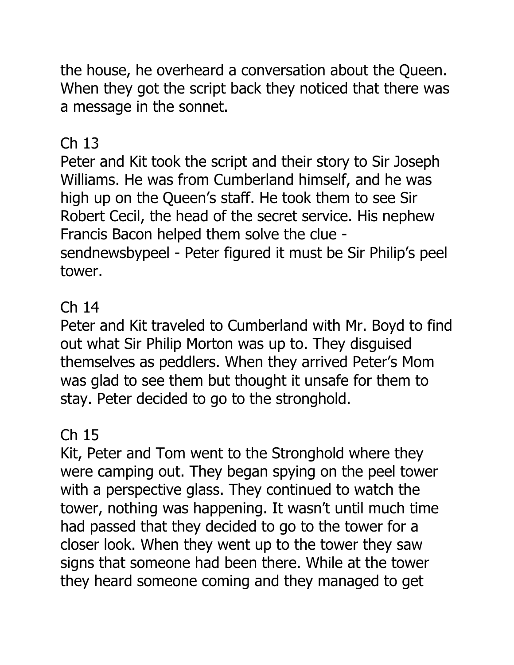the house, he overheard a conversation about the Queen. When they got the script back they noticed that there was a message in the sonnet.

## Ch 13

Peter and Kit took the script and their story to Sir Joseph Williams. He was from Cumberland himself, and he was high up on the Queen's staff. He took them to see Sir Robert Cecil, the head of the secret service. His nephew Francis Bacon helped them solve the clue sendnewsbypeel - Peter figured it must be Sir Philip's peel tower.

#### Ch 14

Peter and Kit traveled to Cumberland with Mr. Boyd to find out what Sir Philip Morton was up to. They disguised themselves as peddlers. When they arrived Peter's Mom was glad to see them but thought it unsafe for them to stay. Peter decided to go to the stronghold.

### Ch 15

Kit, Peter and Tom went to the Stronghold where they were camping out. They began spying on the peel tower with a perspective glass. They continued to watch the tower, nothing was happening. It wasn't until much time had passed that they decided to go to the tower for a closer look. When they went up to the tower they saw signs that someone had been there. While at the tower they heard someone coming and they managed to get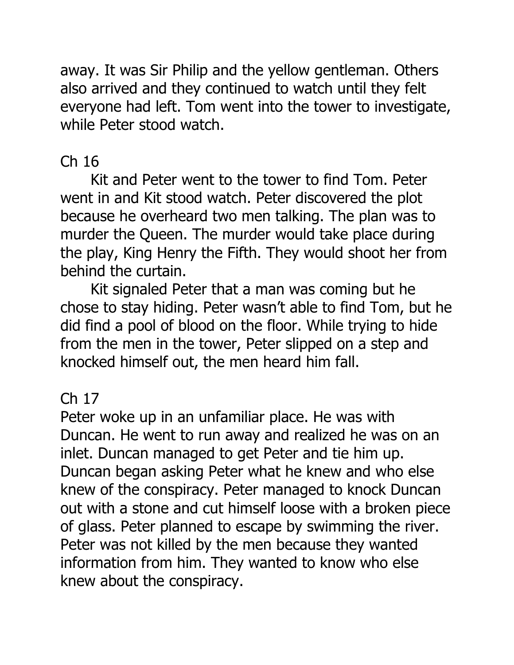away. It was Sir Philip and the yellow gentleman. Others also arrived and they continued to watch until they felt everyone had left. Tom went into the tower to investigate, while Peter stood watch.

### Ch 16

Kit and Peter went to the tower to find Tom. Peter went in and Kit stood watch. Peter discovered the plot because he overheard two men talking. The plan was to murder the Queen. The murder would take place during the play, King Henry the Fifth. They would shoot her from behind the curtain.

Kit signaled Peter that a man was coming but he chose to stay hiding. Peter wasn't able to find Tom, but he did find a pool of blood on the floor. While trying to hide from the men in the tower, Peter slipped on a step and knocked himself out, the men heard him fall.

#### Ch 17

Peter woke up in an unfamiliar place. He was with Duncan. He went to run away and realized he was on an inlet. Duncan managed to get Peter and tie him up. Duncan began asking Peter what he knew and who else knew of the conspiracy. Peter managed to knock Duncan out with a stone and cut himself loose with a broken piece of glass. Peter planned to escape by swimming the river. Peter was not killed by the men because they wanted information from him. They wanted to know who else knew about the conspiracy.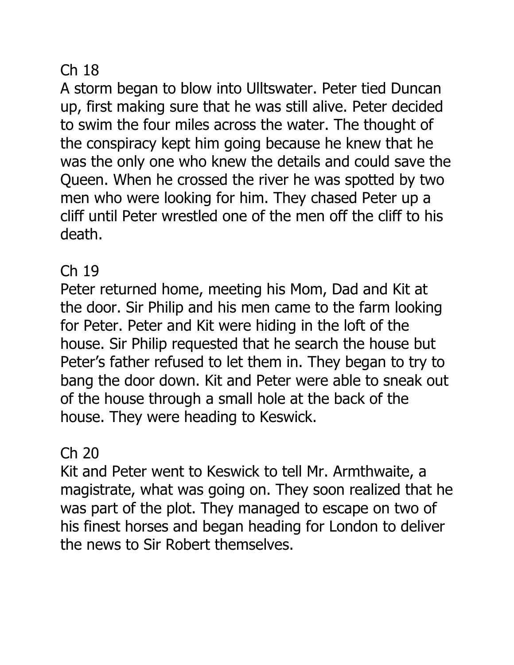#### Ch 18

A storm began to blow into Ulltswater. Peter tied Duncan up, first making sure that he was still alive. Peter decided to swim the four miles across the water. The thought of the conspiracy kept him going because he knew that he was the only one who knew the details and could save the Queen. When he crossed the river he was spotted by two men who were looking for him. They chased Peter up a cliff until Peter wrestled one of the men off the cliff to his death.

#### Ch 19

Peter returned home, meeting his Mom, Dad and Kit at the door. Sir Philip and his men came to the farm looking for Peter. Peter and Kit were hiding in the loft of the house. Sir Philip requested that he search the house but Peter's father refused to let them in. They began to try to bang the door down. Kit and Peter were able to sneak out of the house through a small hole at the back of the house. They were heading to Keswick.

### Ch 20

Kit and Peter went to Keswick to tell Mr. Armthwaite, a magistrate, what was going on. They soon realized that he was part of the plot. They managed to escape on two of his finest horses and began heading for London to deliver the news to Sir Robert themselves.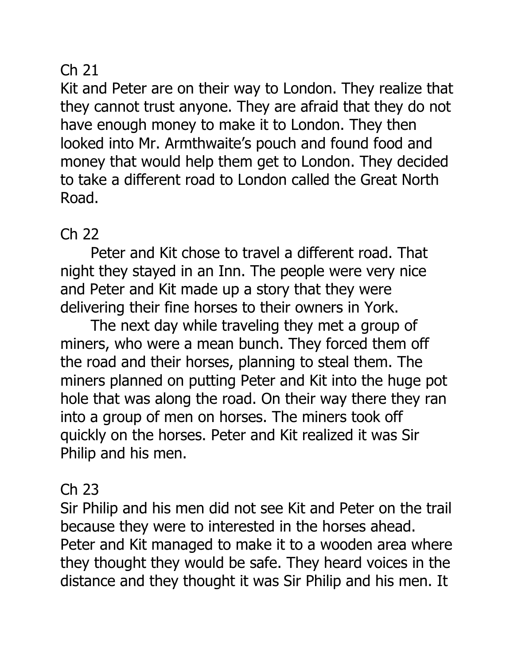#### Ch 21

Kit and Peter are on their way to London. They realize that they cannot trust anyone. They are afraid that they do not have enough money to make it to London. They then looked into Mr. Armthwaite's pouch and found food and money that would help them get to London. They decided to take a different road to London called the Great North Road.

#### Ch 22

Peter and Kit chose to travel a different road. That night they stayed in an Inn. The people were very nice and Peter and Kit made up a story that they were delivering their fine horses to their owners in York.

The next day while traveling they met a group of miners, who were a mean bunch. They forced them off the road and their horses, planning to steal them. The miners planned on putting Peter and Kit into the huge pot hole that was along the road. On their way there they ran into a group of men on horses. The miners took off quickly on the horses. Peter and Kit realized it was Sir Philip and his men.

#### Ch 23

Sir Philip and his men did not see Kit and Peter on the trail because they were to interested in the horses ahead. Peter and Kit managed to make it to a wooden area where they thought they would be safe. They heard voices in the distance and they thought it was Sir Philip and his men. It